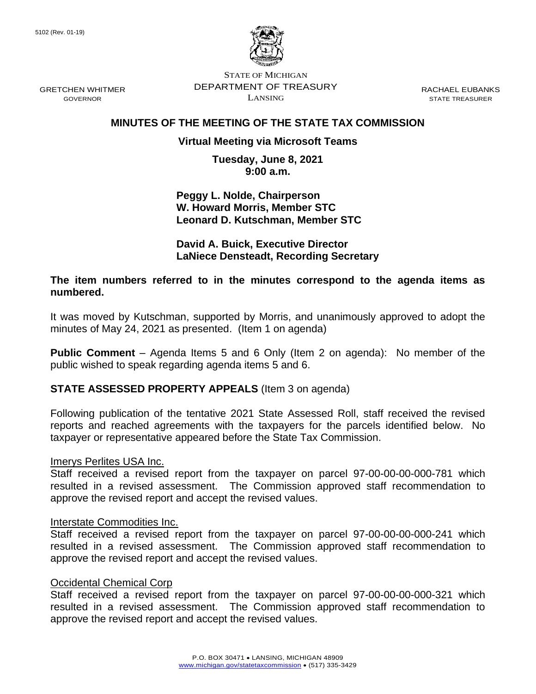GOVERNOR



STATE OF MICHIGAN DEPARTMENT OF TREASURY LANSING

RACHAEL EUBANKS STATE TREASURER

## **MINUTES OF THE MEETING OF THE STATE TAX COMMISSION**

## **Virtual Meeting via Microsoft Teams**

**Tuesday, June 8, 2021 9:00 a.m.**

**Peggy L. Nolde, Chairperson W. Howard Morris, Member STC Leonard D. Kutschman, Member STC**

**David A. Buick, Executive Director LaNiece Densteadt, Recording Secretary**

**The item numbers referred to in the minutes correspond to the agenda items as numbered.**

It was moved by Kutschman, supported by Morris, and unanimously approved to adopt the minutes of May 24, 2021 as presented. (Item 1 on agenda)

**Public Comment** – Agenda Items 5 and 6 Only (Item 2 on agenda): No member of the public wished to speak regarding agenda items 5 and 6.

## **STATE ASSESSED PROPERTY APPEALS** (Item 3 on agenda)

Following publication of the tentative 2021 State Assessed Roll, staff received the revised reports and reached agreements with the taxpayers for the parcels identified below. No taxpayer or representative appeared before the State Tax Commission.

### Imerys Perlites USA Inc.

Staff received a revised report from the taxpayer on parcel 97-00-00-00-000-781 which resulted in a revised assessment. The Commission approved staff recommendation to approve the revised report and accept the revised values.

### Interstate Commodities Inc.

Staff received a revised report from the taxpayer on parcel 97-00-00-00-000-241 which resulted in a revised assessment. The Commission approved staff recommendation to approve the revised report and accept the revised values.

### Occidental Chemical Corp

Staff received a revised report from the taxpayer on parcel 97-00-00-00-000-321 which resulted in a revised assessment. The Commission approved staff recommendation to approve the revised report and accept the revised values.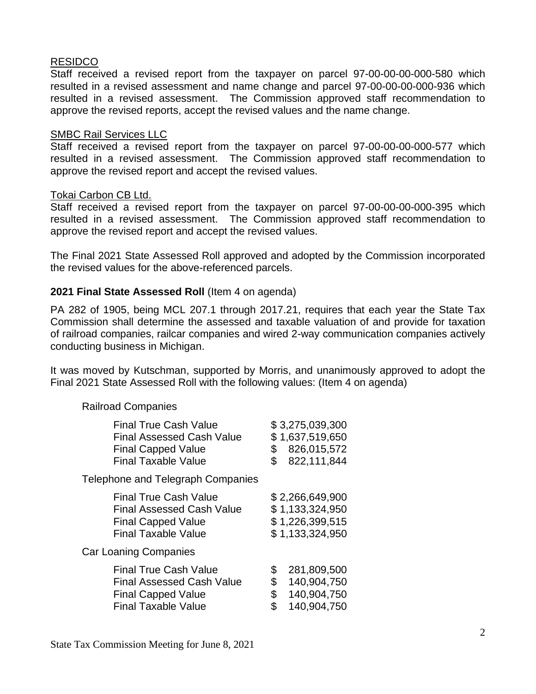## RESIDCO

Staff received a revised report from the taxpayer on parcel 97-00-00-00-000-580 which resulted in a revised assessment and name change and parcel 97-00-00-00-000-936 which resulted in a revised assessment. The Commission approved staff recommendation to approve the revised reports, accept the revised values and the name change.

## SMBC Rail Services LLC

Staff received a revised report from the taxpayer on parcel 97-00-00-00-000-577 which resulted in a revised assessment. The Commission approved staff recommendation to approve the revised report and accept the revised values.

### Tokai Carbon CB Ltd.

Staff received a revised report from the taxpayer on parcel 97-00-00-00-000-395 which resulted in a revised assessment. The Commission approved staff recommendation to approve the revised report and accept the revised values.

The Final 2021 State Assessed Roll approved and adopted by the Commission incorporated the revised values for the above-referenced parcels.

## **2021 Final State Assessed Roll** (Item 4 on agenda)

PA 282 of 1905, being MCL 207.1 through 2017.21, requires that each year the State Tax Commission shall determine the assessed and taxable valuation of and provide for taxation of railroad companies, railcar companies and wired 2-way communication companies actively conducting business in Michigan.

It was moved by Kutschman, supported by Morris, and unanimously approved to adopt the Final 2021 State Assessed Roll with the following values: (Item 4 on agenda)

## Railroad Companies

| \$<br>\$             | \$3,275,039,300<br>\$1,637,519,650<br>826,015,572<br>822,111,844         |
|----------------------|--------------------------------------------------------------------------|
|                      |                                                                          |
|                      | \$2,266,649,900<br>\$1,133,324,950<br>\$1,226,399,515<br>\$1,133,324,950 |
|                      |                                                                          |
| \$<br>\$<br>\$<br>\$ | 281,809,500<br>140,904,750<br>140,904,750<br>140,904,750                 |
|                      |                                                                          |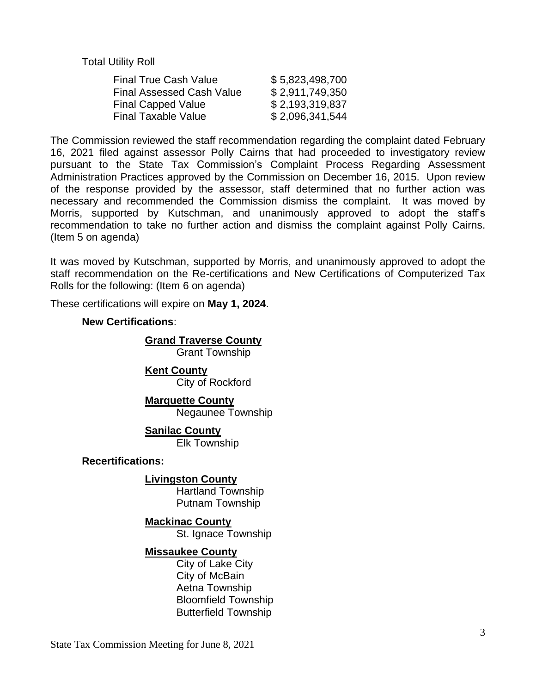Total Utility Roll

| \$5,823,498,700 |
|-----------------|
| \$2,911,749,350 |
| \$2,193,319,837 |
| \$2,096,341,544 |
|                 |

The Commission reviewed the staff recommendation regarding the complaint dated February 16, 2021 filed against assessor Polly Cairns that had proceeded to investigatory review pursuant to the State Tax Commission's Complaint Process Regarding Assessment Administration Practices approved by the Commission on December 16, 2015. Upon review of the response provided by the assessor, staff determined that no further action was necessary and recommended the Commission dismiss the complaint. It was moved by Morris, supported by Kutschman, and unanimously approved to adopt the staff's recommendation to take no further action and dismiss the complaint against Polly Cairns. (Item 5 on agenda)

It was moved by Kutschman, supported by Morris, and unanimously approved to adopt the staff recommendation on the Re-certifications and New Certifications of Computerized Tax Rolls for the following: (Item 6 on agenda)

These certifications will expire on **May 1, 2024**.

## **New Certifications**:

# **Grand Traverse County**

Grant Township

**Kent County** City of Rockford

**Marquette County** Negaunee Township

**Sanilac County**

Elk Township

### **Recertifications:**

## **Livingston County**

Hartland Township Putnam Township

## **Mackinac County**

St. Ignace Township

## **Missaukee County**

City of Lake City City of McBain Aetna Township Bloomfield Township Butterfield Township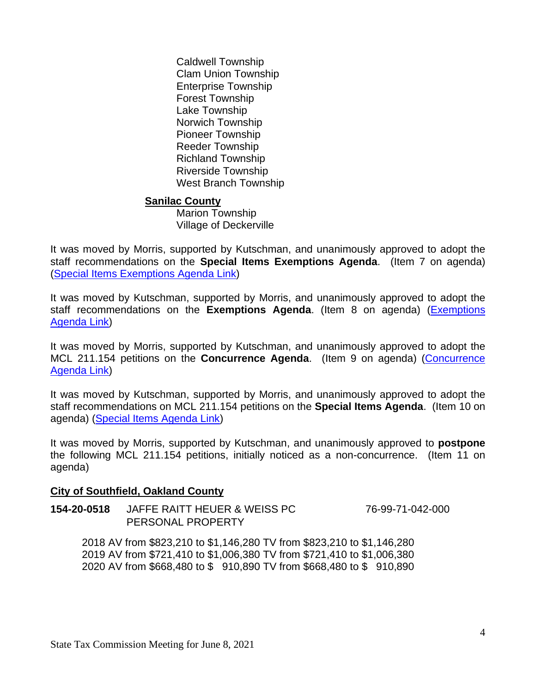Caldwell Township Clam Union Township Enterprise Township Forest Township Lake Township Norwich Township Pioneer Township Reeder Township Richland Township Riverside Township West Branch Township

## **Sanilac County**

Marion Township Village of Deckerville

It was moved by Morris, supported by Kutschman, and unanimously approved to adopt the staff recommendations on the **Special Items Exemptions Agenda**. (Item 7 on agenda) (Special Items [Exemptions Agenda Link\)](https://www.michigan.gov/documents/treasury/7_Exemptions_Special_Items_Agenda_726727_7.pdf)

It was moved by Kutschman, supported by Morris, and unanimously approved to adopt the staff recommendations on the **Exemptions Agenda**. (Item 8 on agenda) [\(Exemptions](https://www.michigan.gov/documents/treasury/8_Exemptions_Agenda_726729_7.pdf)  [Agenda Link\)](https://www.michigan.gov/documents/treasury/8_Exemptions_Agenda_726729_7.pdf)

It was moved by Morris, supported by Kutschman, and unanimously approved to adopt the MCL 211.154 petitions on the **Concurrence Agenda**. (Item 9 on agenda) [\(Concurrence](https://www.michigan.gov/documents/treasury/9_Concurrence_Agenda_726730_7.pdf) [Agenda Link\)](https://www.michigan.gov/documents/treasury/9_Concurrence_Agenda_726730_7.pdf)

It was moved by Kutschman, supported by Morris, and unanimously approved to adopt the staff recommendations on MCL 211.154 petitions on the **Special Items Agenda**. (Item 10 on agenda) [\(Special Items Agenda Link\)](https://www.michigan.gov/documents/treasury/10_Special_Items_Agenda_726732_7.pdf)

It was moved by Morris, supported by Kutschman, and unanimously approved to **postpone** the following MCL 211.154 petitions, initially noticed as a non-concurrence. (Item 11 on agenda)

# **City of Southfield, Oakland County**

**154-20-0518** JAFFE RAITT HEUER & WEISS PC 76-99-71-042-000 PERSONAL PROPERTY

2018 AV from \$823,210 to \$1,146,280 TV from \$823,210 to \$1,146,280 2019 AV from \$721,410 to \$1,006,380 TV from \$721,410 to \$1,006,380 2020 AV from \$668,480 to \$ 910,890 TV from \$668,480 to \$ 910,890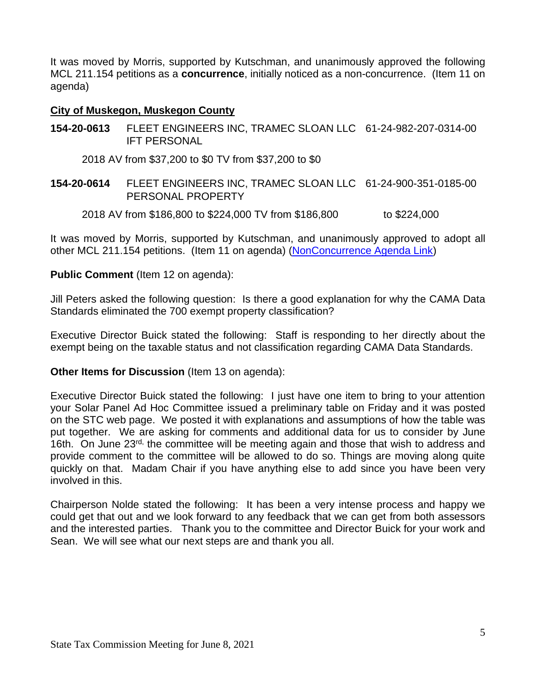It was moved by Morris, supported by Kutschman, and unanimously approved the following MCL 211.154 petitions as a **concurrence**, initially noticed as a non-concurrence. (Item 11 on agenda)

## **City of Muskegon, Muskegon County**

**154-20-0613** FLEET ENGINEERS INC, TRAMEC SLOAN LLC 61-24-982-207-0314-00 IFT PERSONAL

2018 AV from \$37,200 to \$0 TV from \$37,200 to \$0

**154-20-0614** FLEET ENGINEERS INC, TRAMEC SLOAN LLC 61-24-900-351-0185-00 PERSONAL PROPERTY

2018 AV from \$186,800 to \$224,000 TV from \$186,800 to \$224,000

It was moved by Morris, supported by Kutschman, and unanimously approved to adopt all other MCL 211.154 petitions. (Item 11 on agenda) [\(NonConcurrence Agenda Link\)](https://www.michigan.gov/documents/treasury/Agenda_-_NonConcurrence_for_Minutes_727443_7.pdf)

## **Public Comment** (Item 12 on agenda):

Jill Peters asked the following question: Is there a good explanation for why the CAMA Data Standards eliminated the 700 exempt property classification?

Executive Director Buick stated the following: Staff is responding to her directly about the exempt being on the taxable status and not classification regarding CAMA Data Standards.

## **Other Items for Discussion** (Item 13 on agenda):

Executive Director Buick stated the following: I just have one item to bring to your attention your Solar Panel Ad Hoc Committee issued a preliminary table on Friday and it was posted on the STC web page. We posted it with explanations and assumptions of how the table was put together. We are asking for comments and additional data for us to consider by June 16th. On June 23<sup>rd,</sup> the committee will be meeting again and those that wish to address and provide comment to the committee will be allowed to do so. Things are moving along quite quickly on that. Madam Chair if you have anything else to add since you have been very involved in this.

Chairperson Nolde stated the following: It has been a very intense process and happy we could get that out and we look forward to any feedback that we can get from both assessors and the interested parties. Thank you to the committee and Director Buick for your work and Sean. We will see what our next steps are and thank you all.